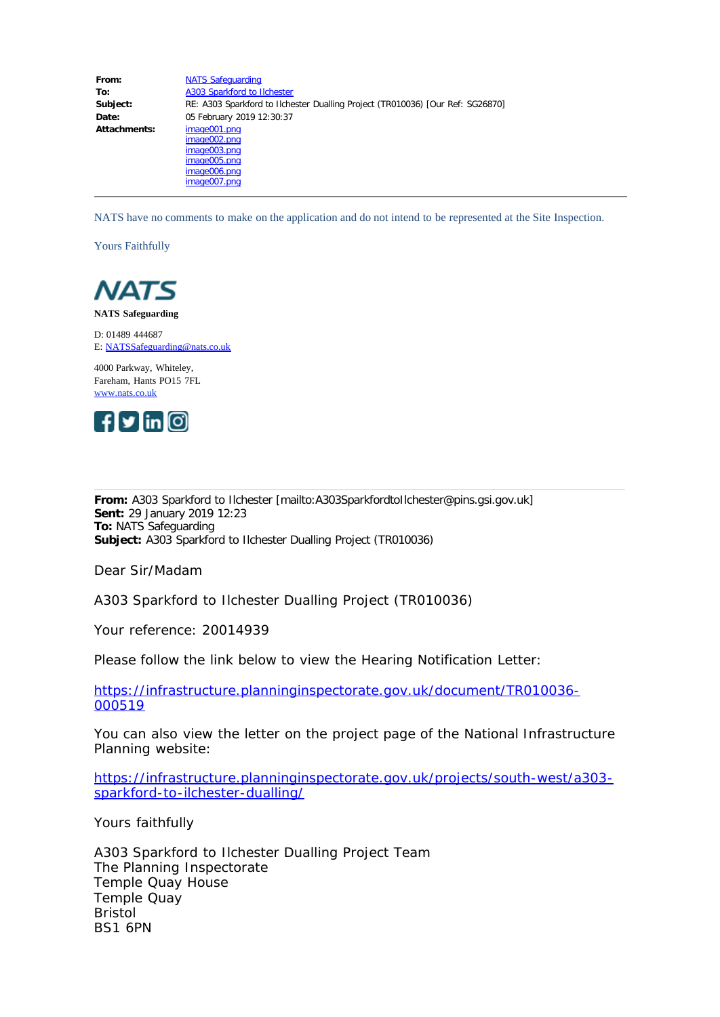| From:        | <b>NATS Safeguarding</b>                                                                                 |
|--------------|----------------------------------------------------------------------------------------------------------|
| To:          | A303 Sparkford to Ilchester                                                                              |
| Subject:     | RE: A303 Sparkford to Ilchester Dualling Project (TR010036) [Our Ref: SG26870]                           |
| Date:        | 05 February 2019 12:30:37                                                                                |
| Attachments: | image001.png<br>image002.png<br>image003.png<br>image005.p <sub>ng</sub><br>image006.png<br>image007.png |

NATS have no comments to make on the application and do not intend to be represented at the Site Inspection.

Yours Faithfully



**NATS Safeguarding**

D: 01489 444687 E: [NATSSafeguarding@nats.co.uk](mailto:NATSSafeguarding@nats.co.uk)

4000 Parkway, Whiteley, Fareham, Hants PO15 7FL [www.nats.co.uk](http://www.nats.co.uk/)



**From:** A303 Sparkford to Ilchester [mailto:A303SparkfordtoIlchester@pins.gsi.gov.uk] **Sent:** 29 January 2019 12:23 **To:** NATS Safeguarding **Subject:** A303 Sparkford to Ilchester Dualling Project (TR010036)

Dear Sir/Madam

A303 Sparkford to Ilchester Dualling Project (TR010036)

Your reference: 20014939

Please follow the link below to view the Hearing Notification Letter:

[https://infrastructure.planninginspectorate.gov.uk/document/TR010036-](https://infrastructure.planninginspectorate.gov.uk/document/TR010036-000519) [000519](https://infrastructure.planninginspectorate.gov.uk/document/TR010036-000519)

You can also view the letter on the project page of the National Infrastructure Planning website:

[https://infrastructure.planninginspectorate.gov.uk/projects/south-west/a303](https://infrastructure.planninginspectorate.gov.uk/projects/south-west/a303-sparkford-to-ilchester-dualling/) [sparkford-to-ilchester-dualling/](https://infrastructure.planninginspectorate.gov.uk/projects/south-west/a303-sparkford-to-ilchester-dualling/)

Yours faithfully

A303 Sparkford to Ilchester Dualling Project Team The Planning Inspectorate Temple Quay House Temple Quay Bristol BS1 6PN